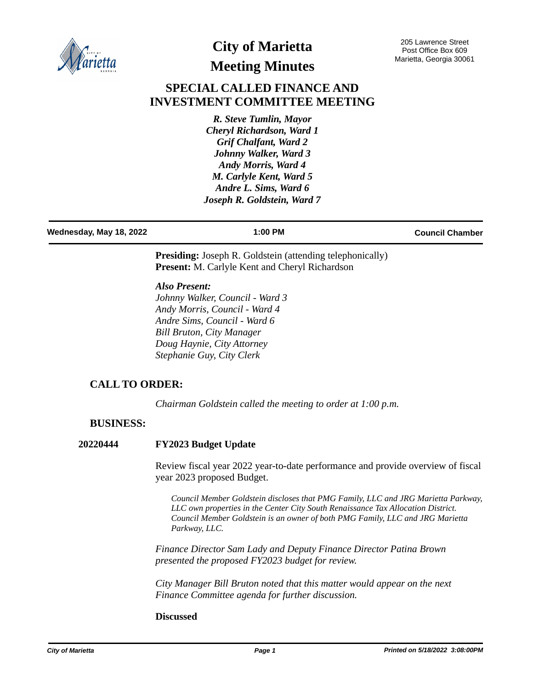

# **City of Marietta Meeting Minutes**

205 Lawrence Street Post Office Box 609 Marietta, Georgia 30061

## **SPECIAL CALLED FINANCE AND INVESTMENT COMMITTEE MEETING**

*R. Steve Tumlin, Mayor Cheryl Richardson, Ward 1 Grif Chalfant, Ward 2 Johnny Walker, Ward 3 Andy Morris, Ward 4 M. Carlyle Kent, Ward 5 Andre L. Sims, Ward 6 Joseph R. Goldstein, Ward 7*

# **Wednesday, May 18, 2022 1:00 PM Council Chamber**

**Presiding:** Joseph R. Goldstein (attending telephonically) **Present:** M. Carlyle Kent and Cheryl Richardson

*Also Present:*

*Johnny Walker, Council - Ward 3 Andy Morris, Council - Ward 4 Andre Sims, Council - Ward 6 Bill Bruton, City Manager Doug Haynie, City Attorney Stephanie Guy, City Clerk*

### **CALL TO ORDER:**

*Chairman Goldstein called the meeting to order at 1:00 p.m.*

#### **BUSINESS:**

#### **20220444 FY2023 Budget Update**

Review fiscal year 2022 year-to-date performance and provide overview of fiscal year 2023 proposed Budget.

*Council Member Goldstein discloses that PMG Family, LLC and JRG Marietta Parkway, LLC own properties in the Center City South Renaissance Tax Allocation District. Council Member Goldstein is an owner of both PMG Family, LLC and JRG Marietta Parkway, LLC.*

*Finance Director Sam Lady and Deputy Finance Director Patina Brown presented the proposed FY2023 budget for review.* 

*City Manager Bill Bruton noted that this matter would appear on the next Finance Committee agenda for further discussion.*

#### **Discussed**